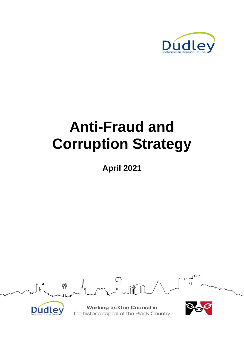

# **Anti-Fraud and Corruption Strategy**

**April 2021**





**Working as One Council in** the historic capital of the Black Country

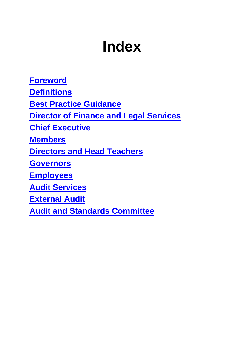# **Index**

**[Foreword](#page-2-0)**

**[Definitions](#page-4-0)**

**[Best Practice Guidance](#page-5-0)**

**Director of [Finance and Legal Services](#page-6-0)**

**[Chief Executive](#page-7-0)**

**[Members](#page-7-1)**

**Directors and [Head Teachers](#page-8-0)**

**[Governors](#page-10-0)**

**[Employees](#page-10-1)**

**[Audit Services](#page-11-0)**

**[External Audit](#page-12-0)**

**[Audit and Standards Committee](#page-12-1)**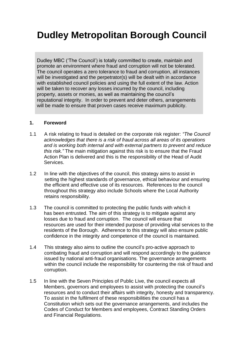# **Dudley Metropolitan Borough Council**

Dudley MBC ('The Council') is totally committed to create, maintain and promote an environment where fraud and corruption will not be tolerated. The council operates a zero tolerance to fraud and corruption, all instances will be investigated and the perpetrator(s) will be dealt with in accordance with established council policies and using the full extent of the law. Action will be taken to recover any losses incurred by the council, including property, assets or monies, as well as maintaining the council's reputational integrity. In order to prevent and deter others, arrangements will be made to ensure that proven cases receive maximum publicity.

#### <span id="page-2-0"></span>**1. Foreword**

- 1.1 A risk relating to fraud is detailed on the corporate risk register: *"The Council acknowledges that there is a risk of fraud across all areas of its operations and is working both internal and with external partners to prevent and reduce this risk."* The main mitigation against this risk is to ensure that the Fraud Action Plan is delivered and this is the responsibility of the Head of Audit Services.
- 1.2 In line with the objectives of the council, this strategy aims to assist in setting the highest standards of governance, ethical behaviour and ensuring the efficient and effective use of its resources. References to the council throughout this strategy also include Schools where the Local Authority retains responsibility.
- 1.3 The council is committed to protecting the public funds with which it has been entrusted. The aim of this strategy is to mitigate against any losses due to fraud and corruption. The council will ensure that resources are used for their intended purpose of providing vital services to the residents of the Borough. Adherence to this strategy will also ensure public confidence in the integrity and competence of the council is maintained.
- 1.4 This strategy also aims to outline the council's pro-active approach to combating fraud and corruption and will respond accordingly to the guidance issued by national anti-fraud organisations. The governance arrangements within the council include the responsibility for countering the risk of fraud and corruption.
- 1.5 In line with the Seven Principles of Public Live, the council expects all Members, governors and employees to assist with protecting the council's resources and to conduct their affairs with integrity, honesty and transparency. To assist in the fulfilment of these responsibilities the council has a Constitution which sets out the governance arrangements, and includes the Codes of Conduct for Members and employees, Contract Standing Orders and Financial Regulations.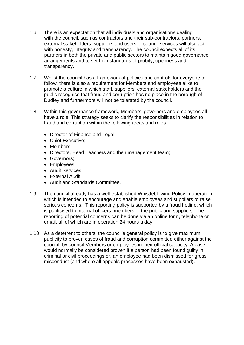- 1.6. There is an expectation that all individuals and organisations dealing with the council, such as contractors and their sub-contractors, partners, external stakeholders, suppliers and users of council services will also act with honesty, integrity and transparency. The council expects all of its partners in both the private and public sectors to maintain good governance arrangements and to set high standards of probity, openness and transparency.
- 1.7 Whilst the council has a framework of policies and controls for everyone to follow, there is also a requirement for Members and employees alike to promote a culture in which staff, suppliers, external stakeholders and the public recognise that fraud and corruption has no place in the borough of Dudley and furthermore will not be tolerated by the council.
- 1.8 Within this governance framework, Members, governors and employees all have a role. This strategy seeks to clarify the responsibilities in relation to fraud and corruption within the following areas and roles:
	- Director of Finance and Legal;
	- Chief Executive;
	- Members:
	- Directors, Head Teachers and their management team;
	- Governors;
	- Employees;
	- Audit Services;
	- External Audit;
	- Audit and Standards Committee.
- 1.9 The council already has a well-established Whistleblowing Policy in operation, which is intended to encourage and enable employees and suppliers to raise serious concerns. This reporting policy is supported by a fraud hotline, which is publicised to internal officers, members of the public and suppliers. The reporting of potential concerns can be done via an online form, telephone or email, all of which are in operation 24 hours a day.
- 1.10 As a deterrent to others, the council's general policy is to give maximum publicity to proven cases of fraud and corruption committed either against the council, by council Members or employees in their official capacity. A case would normally be considered proven if a person had been found guilty in criminal or civil proceedings or, an employee had been dismissed for gross misconduct (and where all appeals processes have been exhausted).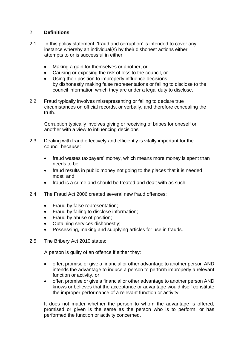### <span id="page-4-0"></span>2. **Definitions**

- 2.1 In this policy statement, 'fraud and corruption' is intended to cover any instance whereby an individual(s) by their dishonest actions either attempts to or is successful in either:
	- Making a gain for themselves or another, or
	- Causing or exposing the risk of loss to the council, or
	- Using their position to improperly influence decisions by dishonestly making false representations or failing to disclose to the council information which they are under a legal duty to disclose.
- 2.2 Fraud typically involves misrepresenting or failing to declare true circumstances on official records, or verbally, and therefore concealing the truth.

Corruption typically involves giving or receiving of bribes for oneself or another with a view to influencing decisions.

- 2.3 Dealing with fraud effectively and efficiently is vitally important for the council because:
	- fraud wastes taxpayers' money, which means more money is spent than needs to be;
	- fraud results in public money not going to the places that it is needed most; and
	- fraud is a crime and should be treated and dealt with as such.
- 2.4 The Fraud Act 2006 created several new fraud offences:
	- Fraud by false representation;
	- Fraud by failing to disclose information;
	- Fraud by abuse of position;
	- Obtaining services dishonestly;
	- Possessing, making and supplying articles for use in frauds.
- 2.5 The Bribery Act 2010 states:

A person is guilty of an offence if either they:

- offer, promise or give a financial or other advantage to another person AND intends the advantage to induce a person to perform improperly a relevant function or activity, or
- offer, promise or give a financial or other advantage to another person AND knows or believes that the acceptance or advantage would itself constitute the improper performance of a relevant function or activity.

It does not matter whether the person to whom the advantage is offered, promised or given is the same as the person who is to perform, or has performed the function or activity concerned.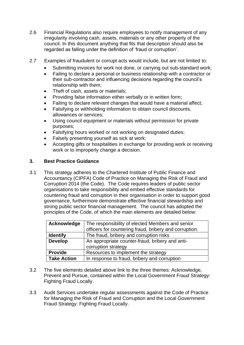- 2.6 Financial Regulations also require employees to notify management of any irregularity involving cash, assets, materials or any other property of the council. In this document anything that fits that description should also be regarded as falling under the definition of 'fraud or corruption'.
- 2.7 Examples of fraudulent or corrupt acts would include, but are not limited to:
	- Submitting invoices for work not done, or carrying out sub-standard work;
	- Failing to declare a personal or business relationship with a contractor or their sub-contractor and influencing decisions regarding the council's relationship with them;
	- Theft of cash, assets or materials;
	- Providing false information either verbally or in written form;
	- Failing to declare relevant changes that would have a material affect;
	- Falsifying or withholding information to obtain council discounts, allowances or services;
	- Using council equipment or materials without permission for private purposes;
	- Falsifying hours worked or not working on designated duties;
	- Falsely presenting yourself as sick at work;
	- Accepting gifts or hospitalities in exchange for providing work or receiving work or to improperly change a decision.

#### <span id="page-5-0"></span>**3. Best Practice Guidance**

3.1 This strategy adheres to the Chartered Institute of Public Finance and Accountancy (CIPFA) Code of Practice on Managing the Risk of Fraud and Corruption 2014 (the Code). The Code requires leaders of public sector organisations to take responsibility and embed effective standards for countering fraud and corruption in their organisation in order to support good governance, furthermore demonstrate effective financial stewardship and strong public sector financial management.The council has adopted the principles of the Code, of which the main elements are detailed below:

| Acknowledge        | The responsibility of elected Members and senior       |
|--------------------|--------------------------------------------------------|
|                    | officers for countering fraud, bribery and corruption. |
| <b>Identify</b>    | The fraud, bribery and corruption risks                |
| <b>Develop</b>     | An appropriate counter-fraud, bribery and anti-        |
|                    | corruption strategy                                    |
| <b>Provide</b>     | Resources to implement the strategy                    |
| <b>Take Action</b> | In response to fraud, bribery and corruption           |

- 3.2 The five elements detailed above link to the three themes: Acknowledge, Prevent and Pursue, contained within the Local Government Fraud Strategy: Fighting Fraud Locally.
- 3.3 Audit Services undertake regular assessments against the Code of Practice for Managing the Risk of Fraud and Corruption and the Local Government Fraud Strategy: Fighting Fraud Locally.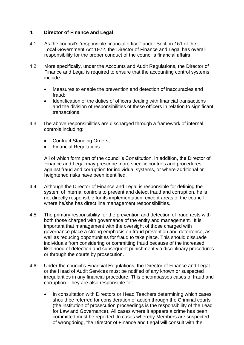### <span id="page-6-0"></span>**4. Director of Finance and Legal**

- 4.1. As the council's 'responsible financial officer' under Section 151 of the Local Government Act 1972, the Director of Finance and Legal has overall responsibility for the proper conduct of the council's financial affairs.
- 4.2 More specifically, under the Accounts and Audit Regulations, the Director of Finance and Legal is required to ensure that the accounting control systems include:
	- Measures to enable the prevention and detection of inaccuracies and fraud;
	- Identification of the duties of officers dealing with financial transactions and the division of responsibilities of these officers in relation to significant transactions.
- 4.3 The above responsibilities are discharged through a framework of internal controls including:
	- Contract Standing Orders;
	- Financial Regulations.

All of which form part of the council's Constitution. In addition, the Director of Finance and Legal may prescribe more specific controls and procedures against fraud and corruption for individual systems, or where additional or heightened risks have been identified.

- 4.4 Although the Director of Finance and Legal is responsible for defining the system of internal controls to prevent and detect fraud and corruption, he is not directly responsible for its implementation, except areas of the council where he/she has direct line management responsibilities.
- 4.5 The primary responsibility for the prevention and detection of fraud rests with both those charged with governance of the entity and management. It is important that management with the oversight of those charged with governance place a strong emphasis on fraud prevention and deterrence, as well as reducing opportunities for fraud to take place. This should dissuade individuals from considering or committing fraud because of the increased likelihood of detection and subsequent punishment via disciplinary procedures or through the courts by prosecution.
- 4.6 Under the council's Financial Regulations, the Director of Finance and Legal or the Head of Audit Services must be notified of any known or suspected irregularities in any financial procedure. This encompasses cases of fraud and corruption. They are also responsible for:
	- In consultation with Directors or Head Teachers determining which cases should be referred for consideration of action through the Criminal courts (the institution of prosecution proceedings is the responsibility of the Lead for Law and Governance). All cases where it appears a crime has been committed must be reported. In cases whereby Members are suspected of wrongdoing, the Director of Finance and Legal will consult with the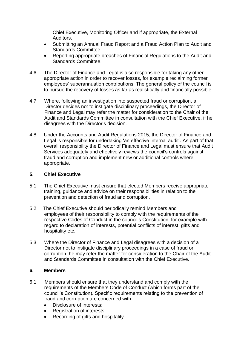Chief Executive, Monitoring Officer and if appropriate, the External Auditors.

- Submitting an Annual Fraud Report and a Fraud Action Plan to Audit and Standards Committee.
- Reporting appropriate breaches of Financial Regulations to the Audit and Standards Committee.
- 4.6 The Director of Finance and Legal is also responsible for taking any other appropriate action in order to recover losses, for example reclaiming former employees' superannuation contributions. The general policy of the council is to pursue the recovery of losses as far as realistically and financially possible.
- 4.7 Where, following an investigation into suspected fraud or corruption, a Director decides not to instigate disciplinary proceedings, the Director of Finance and Legal may refer the matter for consideration to the Chair of the Audit and Standards Committee in consultation with the Chief Executive, if he disagrees with the Director's decision.
- 4.8 Under the Accounts and Audit Regulations 2015, the Director of Finance and Legal is responsible for undertaking 'an effective internal audit'. As part of that overall responsibility the Director of Finance and Legal must ensure that Audit Services adequately and effectively reviews the council's controls against fraud and corruption and implement new or additional controls where appropriate.

#### <span id="page-7-0"></span>**5. Chief Executive**

- 5.1 The Chief Executive must ensure that elected Members receive appropriate training, guidance and advice on their responsibilities in relation to the prevention and detection of fraud and corruption.
- 5.2 The Chief Executive should periodically remind Members and employees of their responsibility to comply with the requirements of the respective Codes of Conduct in the council's Constitution, for example with regard to declaration of interests, potential conflicts of interest, gifts and hospitality etc.
- 5.3 Where the Director of Finance and Legal disagrees with a decision of a Director not to instigate disciplinary proceedings in a case of fraud or corruption, he may refer the matter for consideration to the Chair of the Audit and Standards Committee in consultation with the Chief Executive.

#### <span id="page-7-1"></span>**6. Members**

- 6.1 Members should ensure that they understand and comply with the requirements of the Members Code of Conduct (which forms part of the council's Constitution). Specific requirements relating to the prevention of fraud and corruption are concerned with:
	- Disclosure of interests:
	- Registration of interests;
	- Recording of gifts and hospitality.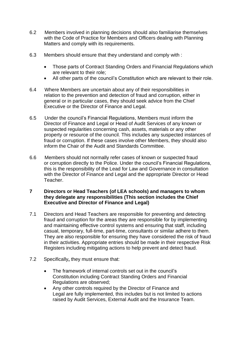- 6.2 Members involved in planning decisions should also familiarise themselves with the Code of Practice for Members and Officers dealing with Planning Matters and comply with its requirements.
- 6.3 Members should ensure that they understand and comply with :
	- Those parts of Contract Standing Orders and Financial Regulations which are relevant to their role;
	- All other parts of the council's Constitution which are relevant to their role.
- 6.4 Where Members are uncertain about any of their responsibilities in relation to the prevention and detection of fraud and corruption, either in general or in particular cases, they should seek advice from the Chief Executive or the Director of Finance and Legal.
- 6.5 Under the council's Financial Regulations, Members must inform the Director of Finance and Legal or Head of Audit Services of any known or suspected regularities concerning cash, assets, materials or any other property or resource of the council. This includes any suspected instances of fraud or corruption. If these cases involve other Members, they should also inform the Chair of the Audit and Standards Committee.
- 6.6 Members should not normally refer cases of known or suspected fraud or corruption directly to the Police. Under the council's Financial Regulations, this is the responsibility of the Lead for Law and Governance in consultation with the Director of Finance and Legal and the appropriate Director or Head Teacher.

#### <span id="page-8-0"></span>**7 Directors or Head Teachers (of LEA schools) and managers to whom they delegate any responsibilities (This section includes the Chief Executive and Director of Finance and Legal)**

- 7.1 Directors and Head Teachers are responsible for preventing and detecting fraud and corruption for the areas they are responsible for by implementing and maintaining effective control systems and ensuring that staff, including casual, temporary, full-time, part-time, consultants or similar adhere to them. They are also responsible for ensuring they have considered the risk of fraud in their activities. Appropriate entries should be made in their respective Risk Registers including mitigating actions to help prevent and detect fraud.
- 7.2 Specifically**,** they must ensure that:
	- The framework of internal controls set out in the council's Constitution including Contract Standing Orders and Financial Regulations are observed;
	- Any other controls required by the Director of Finance and Legal are fully implemented, this includes but is not limited to actions raised by Audit Services, External Audit and the Insurance Team.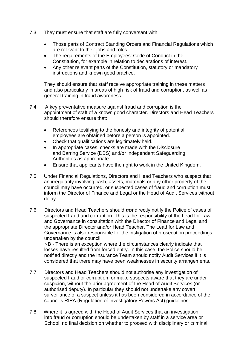- 7.3 They must ensure that staff are fully conversant with:
	- Those parts of Contract Standing Orders and Financial Regulations which are relevant to their jobs and roles.
	- The requirements of the Employees' Code of Conduct in the Constitution, for example in relation to declarations of interest.
	- Any other relevant parts of the Constitution, statutory or mandatory instructions and known good practice.

They should ensure that staff receive appropriate training in these matters and also particularly in areas of high risk of fraud and corruption, as well as general training in fraud awareness.

- 7.4 A key preventative measure against fraud and corruption is the appointment of staff of a known good character. Directors and Head Teachers should therefore ensure that:
	- References testifying to the honesty and integrity of potential employees are obtained before a person is appointed.
	- Check that qualifications are legitimately held.
	- In appropriate cases, checks are made with the Disclosure and Barring Service (DBS) and/or Independent Safeguarding Authorities as appropriate.
	- Ensure that applicants have the right to work in the United Kingdom.
- 7.5 Under Financial Regulations, Directors and Head Teachers who suspect that an irregularity involving cash, assets, materials or any other property of the council may have occurred, or suspected cases of fraud and corruption must inform the Director of Finance and Legal or the Head of Audit Services without delay.
- 7.6 Directors and Head Teachers should *not* directly notify the Police of cases of suspected fraud and corruption. This is the responsibility of the Lead for Law and Governance in consultation with the Director of Finance and Legal and the appropriate Director and/or Head Teacher. The Lead for Law and Governance is also responsible for the instigation of prosecution proceedings undertaken by the council.

NB - There is an exception where the circumstances clearly indicate that losses have resulted from forced entry. In this case, the Police should be notified directly and the Insurance Team should notify Audit Services if it is considered that there may have been weaknesses in security arrangements.

- 7.7 Directors and Head Teachers should not authorise any investigation of suspected fraud or corruption, or make suspects aware that they are under suspicion, without the prior agreement of the Head of Audit Services (or authorised deputy). In particular they should not undertake any covert surveillance of a suspect unless it has been considered in accordance of the council's RIPA (Regulation of Investigatory Powers Act) guidelines.
- 7.8 Where it is agreed with the Head of Audit Services that an investigation into fraud or corruption should be undertaken by staff in a service area or School, no final decision on whether to proceed with disciplinary or criminal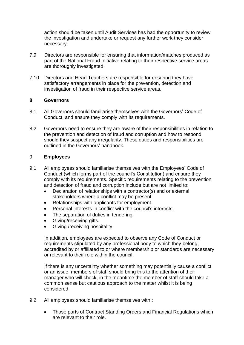action should be taken until Audit Services has had the opportunity to review the investigation and undertake or request any further work they consider necessary.

- 7.9 Directors are responsible for ensuring that information/matches produced as part of the National Fraud Initiative relating to their respective service areas are thoroughly investigated.
- 7.10 Directors and Head Teachers are responsible for ensuring they have satisfactory arrangements in place for the prevention, detection and investigation of fraud in their respective service areas.

#### <span id="page-10-0"></span>**8 Governors**

- 8.1 All Governors should familiarise themselves with the Governors' Code of Conduct, and ensure they comply with its requirements.
- 8.2 Governors need to ensure they are aware of their responsibilities in relation to the prevention and detection of fraud and corruption and how to respond should they suspect any irregularity. These duties and responsibilities are outlined in the Governors' handbook.

#### <span id="page-10-1"></span>9 **Employees**

- 9.1 All employees should familiarise themselves with the Employees' Code of Conduct (which forms part of the council's Constitution) and ensure they comply with its requirements. Specific requirements relating to the prevention and detection of fraud and corruption include but are not limited to:
	- Declaration of relationships with a contractor(s) and or external stakeholders where a conflict may be present.
	- Relationships with applicants for employment.
	- Personal interests in conflict with the council's interests.
	- The separation of duties in tendering.
	- Giving/receiving gifts.
	- Giving /receiving hospitality.

In addition, employees are expected to observe any Code of Conduct or requirements stipulated by any professional body to which they belong, accredited by or affiliated to or where membership or standards are necessary or relevant to their role within the council.

If there is any uncertainty whether something may potentially cause a conflict or an issue, members of staff should bring this to the attention of their manager who will check, in the meantime the member of staff should take a common sense but cautious approach to the matter whilst it is being considered.

- 9.2 All employees should familiarise themselves with :
	- Those parts of Contract Standing Orders and Financial Regulations which are relevant to their role.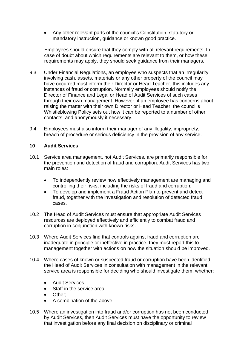• Any other relevant parts of the council's Constitution, statutory or mandatory instruction, guidance or known good practice.

Employees should ensure that they comply with all relevant requirements. In case of doubt about which requirements are relevant to them, or how these requirements may apply, they should seek guidance from their managers.

- 9.3 Under Financial Regulations, an employee who suspects that an irregularity involving cash, assets, materials or any other property of the council may have occurred must inform their Director or Head Teacher, this includes any instances of fraud or corruption. Normally employees should notify the Director of Finance and Legal or Head of Audit Services of such cases through their own management. However, if an employee has concerns about raising the matter with their own Director or Head Teacher, the council's Whistleblowing Policy sets out how it can be reported to a number of other contacts, and anonymously if necessary.
- 9.4 Employees must also inform their manager of any illegality, impropriety, breach of procedure or serious deficiency in the provision of any service.

#### <span id="page-11-0"></span>**10 Audit Services**

- 10.1 Service area management, not Audit Services, are primarily responsible for the prevention and detection of fraud and corruption. Audit Services has two main roles:
	- To independently review how effectively management are managing and controlling their risks, including the risks of fraud and corruption.
	- To develop and implement a Fraud Action Plan to prevent and detect fraud, together with the investigation and resolution of detected fraud cases.
- 10.2 The Head of Audit Services must ensure that appropriate Audit Services resources are deployed effectively and efficiently to combat fraud and corruption in conjunction with known risks.
- 10.3 Where Audit Services find that controls against fraud and corruption are inadequate in principle or ineffective in practice, they must report this to management together with actions on how the situation should be improved.
- 10.4 Where cases of known or suspected fraud or corruption have been identified, the Head of Audit Services in consultation with management in the relevant service area is responsible for deciding who should investigate them, whether:
	- Audit Services;
	- Staff in the service area;
	- Other;
	- A combination of the above.
- 10.5 Where an investigation into fraud and/or corruption has not been conducted by Audit Services, then Audit Services must have the opportunity to review that investigation before any final decision on disciplinary or criminal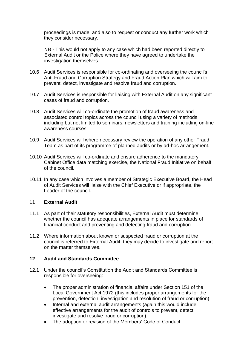proceedings is made, and also to request or conduct any further work which they consider necessary.

NB - This would not apply to any case which had been reported directly to External Audit or the Police where they have agreed to undertake the investigation themselves.

- 10.6 Audit Services is responsible for co-ordinating and overseeing the council's Anti-Fraud and Corruption Strategy and Fraud Action Plan which will aim to prevent, detect, investigate and resolve fraud and corruption.
- 10.7 Audit Services is responsible for liaising with External Audit on any significant cases of fraud and corruption.
- 10.8 Audit Services will co-ordinate the promotion of fraud awareness and associated control topics across the council using a variety of methods including but not limited to seminars, newsletters and training including on-line awareness courses.
- 10.9 Audit Services will where necessary review the operation of any other Fraud Team as part of its programme of planned audits or by ad-hoc arrangement.
- 10.10 Audit Services will co-ordinate and ensure adherence to the mandatory Cabinet Office data matching exercise, the National Fraud Initiative on behalf of the council.
- 10.11 In any case which involves a member of Strategic Executive Board, the Head of Audit Services will liaise with the Chief Executive or if appropriate, the Leader of the council.

#### <span id="page-12-0"></span>11 **External Audit**

- 11.1 As part of their statutory responsibilities, External Audit must determine whether the council has adequate arrangements in place for standards of financial conduct and preventing and detecting fraud and corruption.
- 11.2 Where information about known or suspected fraud or corruption at the council is referred to External Audit, they may decide to investigate and report on the matter themselves.

#### <span id="page-12-1"></span>**12 Audit and Standards Committee**

- 12.1 Under the council's Constitution the Audit and Standards Committee is responsible for overseeing:
	- The proper administration of financial affairs under Section 151 of the Local Government Act 1972 (this includes proper arrangements for the prevention, detection, investigation and resolution of fraud or corruption).
	- Internal and external audit arrangements (again this would include effective arrangements for the audit of controls to prevent, detect, investigate and resolve fraud or corruption).
	- The adoption or revision of the Members' Code of Conduct.